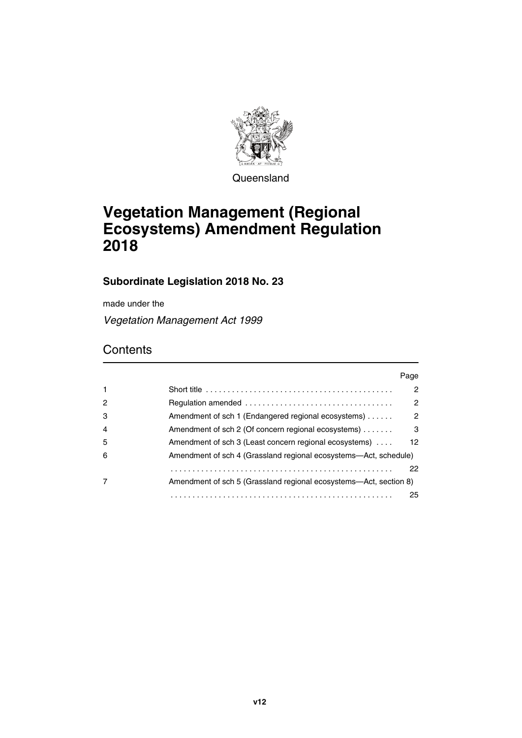

**Queensland** 

# **Vegetation Management (Regional Ecosystems) Amendment Regulation 2018**

### **Subordinate Legislation 2018 No. 23**

made under the

*Vegetation Management Act 1999*

## **Contents**

|                |                                                                   | Page            |
|----------------|-------------------------------------------------------------------|-----------------|
| $\mathbf{1}$   |                                                                   | $\mathcal{P}$   |
| 2              |                                                                   | 2               |
| 3              | Amendment of sch 1 (Endangered regional ecosystems)               | $\mathcal{P}$   |
| $\overline{4}$ | Amendment of sch 2 (Of concern regional ecosystems)               | 3               |
| 5              | Amendment of sch 3 (Least concern regional ecosystems)            | 12 <sup>1</sup> |
| 6              | Amendment of sch 4 (Grassland regional ecosystems—Act, schedule)  |                 |
|                |                                                                   | 22              |
|                | Amendment of sch 5 (Grassland regional ecosystems—Act, section 8) |                 |
|                |                                                                   | 25              |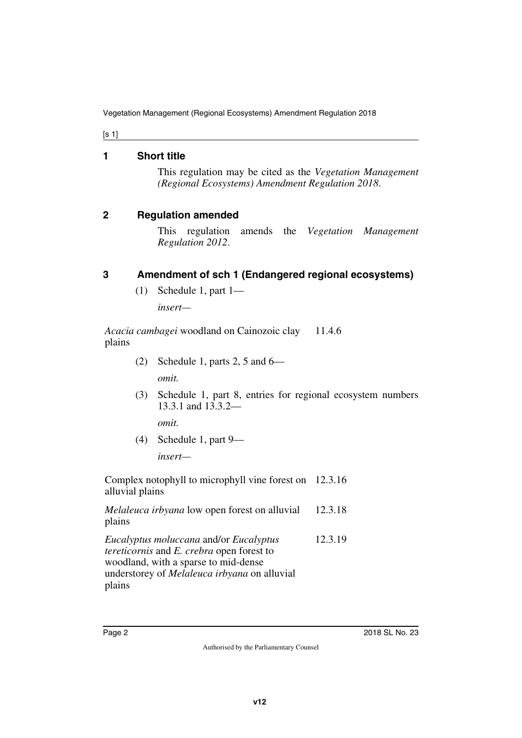[s 1]

### <span id="page-1-0"></span>**1 Short title**

<span id="page-1-1"></span>This regulation may be cited as the *Vegetation Management (Regional Ecosystems) Amendment Regulation 2018*.

### <span id="page-1-2"></span>**2 Regulation amended**

<span id="page-1-3"></span>This regulation amends the *Vegetation Management Regulation 2012*.

### <span id="page-1-4"></span>**3 Amendment of sch 1 (Endangered regional ecosystems)**

<span id="page-1-5"></span>(1) Schedule 1, part 1—

*insert—*

*Acacia cambagei* woodland on Cainozoic clay plains 11.4.6

(2) Schedule 1, parts 2, 5 and  $6-$ 

*omit.*

(3) Schedule 1, part 8, entries for regional ecosystem numbers 13.3.1 and 13.3.2—

*omit.*

(4) Schedule 1, part 9—

*insert—*

Complex notophyll to microphyll vine forest on 12.3.16 alluvial plains

*Melaleuca irbyana* low open forest on alluvial plains 12.3.18

*Eucalyptus moluccana* and/or *Eucalyptus tereticornis* and *E. crebra* open forest to woodland, with a sparse to mid-dense understorey of *Melaleuca irbyana* on alluvial plains 12.3.19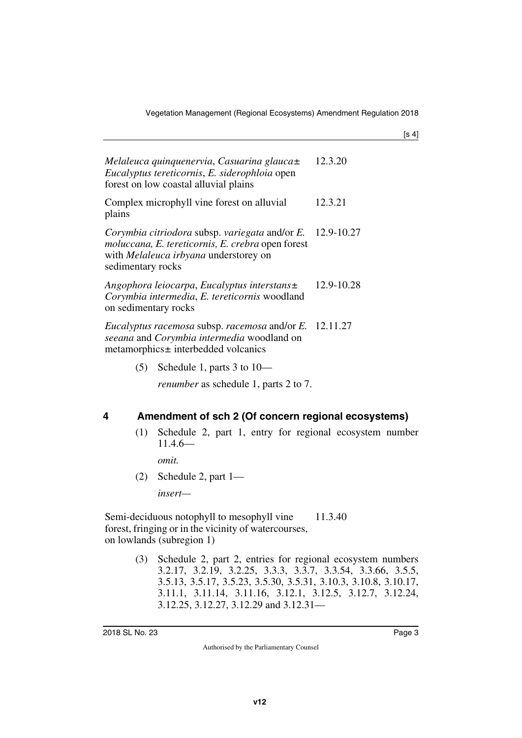| Melaleuca quinquenervia, Casuarina glauca±<br>Eucalyptus tereticornis, E. siderophloia open<br>forest on low coastal alluvial plains                              | 12.3.20    |
|-------------------------------------------------------------------------------------------------------------------------------------------------------------------|------------|
| Complex microphyll vine forest on alluvial<br>plains                                                                                                              | 12.3.21    |
| Corymbia citriodora subsp. variegata and/or E.<br>moluccana, E. tereticornis, E. crebra open forest<br>with Melaleuca irbyana understorey on<br>sedimentary rocks | 12.9-10.27 |
| Angophora leiocarpa, Eucalyptus interstans±<br>Corymbia intermedia, E. tereticornis woodland<br>on sedimentary rocks                                              | 12.9-10.28 |
| Eucalyptus racemosa subsp. racemosa and/or E. 12.11.27<br>seeana and Corymbia intermedia woodland on<br>metamorphics± interbedded volcanics                       |            |

(5) Schedule 1, parts 3 to 10—

*renumber* as schedule 1, parts 2 to 7.

### <span id="page-2-0"></span>**4 Amendment of sch 2 (Of concern regional ecosystems)**

<span id="page-2-1"></span>(1) Schedule 2, part 1, entry for regional ecosystem number 11.4.6—

*omit.*

(2) Schedule 2, part 1—

*insert—*

Semi-deciduous notophyll to mesophyll vine forest, fringing or in the vicinity of watercourses, on lowlands (subregion 1) 11.3.40

> (3) Schedule 2, part 2, entries for regional ecosystem numbers 3.2.17, 3.2.19, 3.2.25, 3.3.3, 3.3.7, 3.3.54, 3.3.66, 3.5.5, 3.5.13, 3.5.17, 3.5.23, 3.5.30, 3.5.31, 3.10.3, 3.10.8, 3.10.17, 3.11.1, 3.11.14, 3.11.16, 3.12.1, 3.12.5, 3.12.7, 3.12.24, 3.12.25, 3.12.27, 3.12.29 and 3.12.31—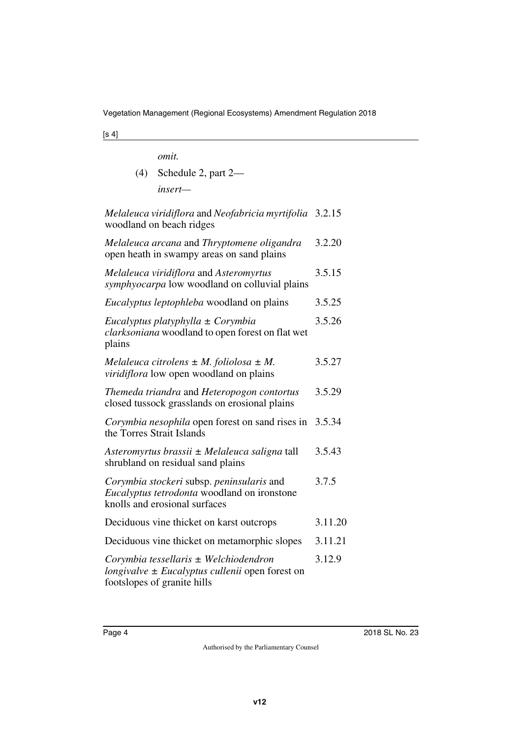*omit.*

(4) Schedule 2, part 2 *insert—*

*Melaleuca viridiflora* and *Neofabricia myrtifolia* 3.2.15 woodland on beach ridges *Melaleuca arcana* and *Thryptomene oligandra* open heath in swampy areas on sand plains 3.2.20 *Melaleuca viridiflora* and *Asteromyrtus symphyocarpa* low woodland on colluvial plains 3.5.15 *Eucalyptus leptophleba* woodland on plains 3.5.25 *Eucalyptus platyphylla ± Corymbia clarksoniana* woodland to open forest on flat wet plains 3.5.26 *Melaleuca citrolens ± M. foliolosa ± M. viridiflora* low open woodland on plains 3.5.27 *Themeda triandra* and *Heteropogon contortus* closed tussock grasslands on erosional plains 3.5.29 *Corymbia nesophila* open forest on sand rises in the Torres Strait Islands 3.5.34 *Asteromyrtus brassii ± Melaleuca saligna* tall shrubland on residual sand plains 3.5.43 *Corymbia stockeri* subsp. *peninsularis* and *Eucalyptus tetrodonta* woodland on ironstone knolls and erosional surfaces 3.7.5 Deciduous vine thicket on karst outcrops 3.11.20 Deciduous vine thicket on metamorphic slopes 3.11.21 *Corymbia tessellaris ± Welchiodendron longivalve ± Eucalyptus cullenii* open forest on footslopes of granite hills 3.12.9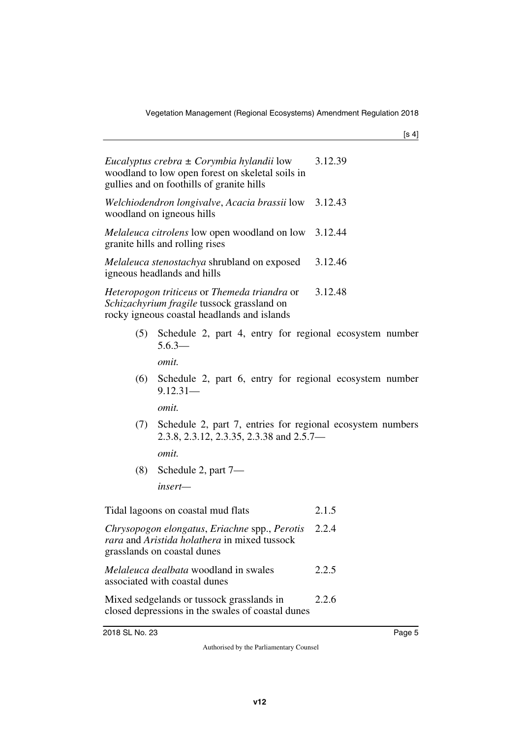|     | Eucalyptus crebra $\pm$ Corymbia hylandii low<br>woodland to low open forest on skeletal soils in<br>gullies and on foothills of granite hills | 3.12.39 |
|-----|------------------------------------------------------------------------------------------------------------------------------------------------|---------|
|     | Welchiodendron longivalve, Acacia brassii low 3.12.43<br>woodland on igneous hills                                                             |         |
|     | <i>Melaleuca citrolens</i> low open woodland on low 3.12.44<br>granite hills and rolling rises                                                 |         |
|     | Melaleuca stenostachya shrubland on exposed 3.12.46<br>igneous headlands and hills                                                             |         |
|     | Heteropogon triticeus or Themeda triandra or<br>Schizachyrium fragile tussock grassland on<br>rocky igneous coastal headlands and islands      | 3.12.48 |
|     | (5) Schedule 2, part 4, entry for regional ecosystem number<br>$5.6.3-$                                                                        |         |
| (6) | <i>omit.</i><br>Schedule 2, part 6, entry for regional ecosystem number                                                                        |         |
|     | $9.12.31-$                                                                                                                                     |         |
|     | <i>omit.</i>                                                                                                                                   |         |
|     | (7) Schedule 2, part 7, entries for regional ecosystem numbers<br>2.3.8, 2.3.12, 2.3.35, 2.3.38 and 2.5.7—                                     |         |
|     | <i>omit.</i>                                                                                                                                   |         |
|     |                                                                                                                                                |         |

(8) Schedule 2, part 7—

*insert—*

Tidal lagoons on coastal mud flats 2.1.5

*Chrysopogon elongatus*, *Eriachne* spp., *Perotis rara* and *Aristida holathera* in mixed tussock grasslands on coastal dunes 2.2.4

*Melaleuca dealbata* woodland in swales associated with coastal dunes 2.2.5

Mixed sedgelands or tussock grasslands in closed depressions in the swales of coastal dunes 2.2.6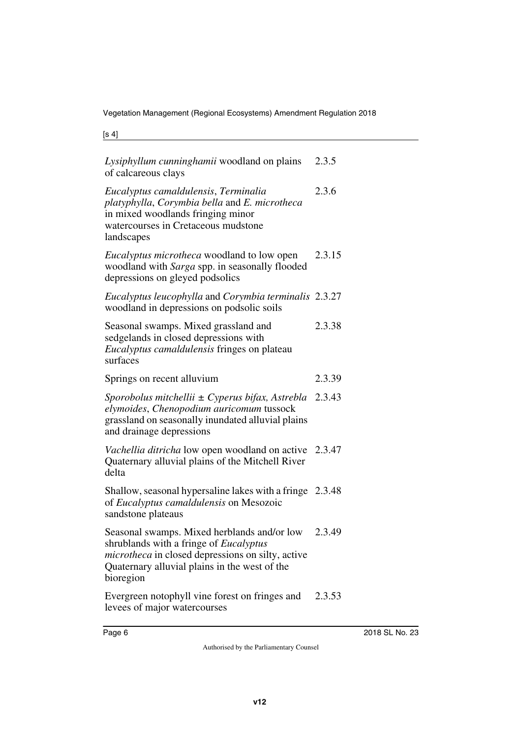| Lysiphyllum cunninghamii woodland on plains<br>of calcareous clays                                                                                                                                                     | 2.3.5  |
|------------------------------------------------------------------------------------------------------------------------------------------------------------------------------------------------------------------------|--------|
| Eucalyptus camaldulensis, Terminalia<br>platyphylla, Corymbia bella and E. microtheca<br>in mixed woodlands fringing minor<br>watercourses in Cretaceous mudstone<br>landscapes                                        | 2.3.6  |
| Eucalyptus microtheca woodland to low open<br>woodland with Sarga spp. in seasonally flooded<br>depressions on gleyed podsolics                                                                                        | 2.3.15 |
| Eucalyptus leucophylla and Corymbia terminalis 2.3.27<br>woodland in depressions on podsolic soils                                                                                                                     |        |
| Seasonal swamps. Mixed grassland and<br>sedgelands in closed depressions with<br>Eucalyptus camaldulensis fringes on plateau<br>surfaces                                                                               | 2.3.38 |
| Springs on recent alluvium                                                                                                                                                                                             | 2.3.39 |
| Sporobolus mitchellii ± Cyperus bifax, Astrebla<br>elymoides, Chenopodium auricomum tussock<br>grassland on seasonally inundated alluvial plains<br>and drainage depressions                                           | 2.3.43 |
| Vachellia ditricha low open woodland on active<br>Quaternary alluvial plains of the Mitchell River<br>delta                                                                                                            | 2.3.47 |
| Shallow, seasonal hypersaline lakes with a fringe 2.3.48<br>of Eucalyptus camaldulensis on Mesozoic<br>sandstone plateaus                                                                                              |        |
| Seasonal swamps. Mixed herblands and/or low<br>shrublands with a fringe of <i>Eucalyptus</i><br><i>microtheca</i> in closed depressions on silty, active<br>Quaternary alluvial plains in the west of the<br>bioregion | 2.3.49 |
| Evergreen notophyll vine forest on fringes and                                                                                                                                                                         | 2.3.53 |

levees of major watercourses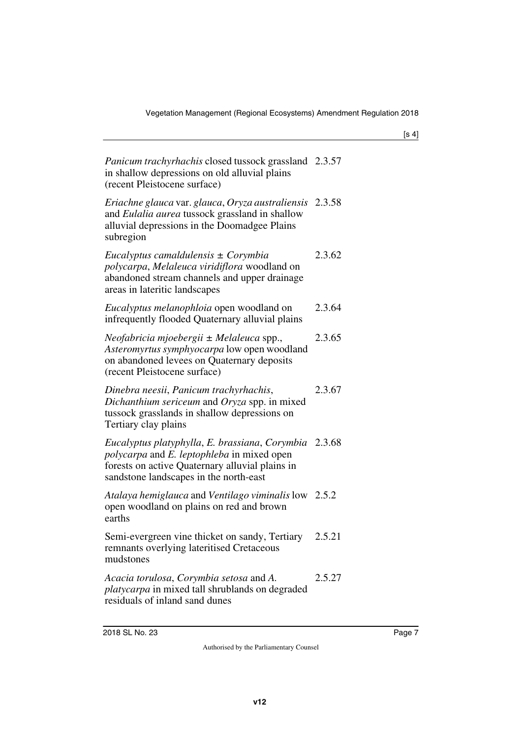| Panicum trachyrhachis closed tussock grassland 2.3.57<br>in shallow depressions on old alluvial plains<br>(recent Pleistocene surface)                                                                         |        |
|----------------------------------------------------------------------------------------------------------------------------------------------------------------------------------------------------------------|--------|
| Eriachne glauca var. glauca, Oryza australiensis 2.3.58<br>and Eulalia aurea tussock grassland in shallow<br>alluvial depressions in the Doomadgee Plains<br>subregion                                         |        |
| Eucalyptus camaldulensis ± Corymbia<br>polycarpa, Melaleuca viridiflora woodland on<br>abandoned stream channels and upper drainage<br>areas in lateritic landscapes                                           | 2.3.62 |
| Eucalyptus melanophloia open woodland on<br>infrequently flooded Quaternary alluvial plains                                                                                                                    | 2.3.64 |
| Neofabricia mjoebergii ± Melaleuca spp.,<br>Asteromyrtus symphyocarpa low open woodland<br>on abandoned levees on Quaternary deposits<br>(recent Pleistocene surface)                                          | 2.3.65 |
| Dinebra neesii, Panicum trachyrhachis,<br>Dichanthium sericeum and Oryza spp. in mixed<br>tussock grasslands in shallow depressions on<br>Tertiary clay plains                                                 | 2.3.67 |
| Eucalyptus platyphylla, E. brassiana, Corymbia 2.3.68<br><i>polycarpa</i> and <i>E. leptophleba</i> in mixed open<br>forests on active Quaternary alluvial plains in<br>sandstone landscapes in the north-east |        |
| Atalaya hemiglauca and Ventilago viminalis low 2.5.2<br>open woodland on plains on red and brown<br>earths                                                                                                     |        |
| Semi-evergreen vine thicket on sandy, Tertiary<br>remnants overlying lateritised Cretaceous<br>mudstones                                                                                                       | 2.5.21 |
| Acacia torulosa, Corymbia setosa and A.<br><i>platycarpa</i> in mixed tall shrublands on degraded<br>residuals of inland sand dunes                                                                            | 2.5.27 |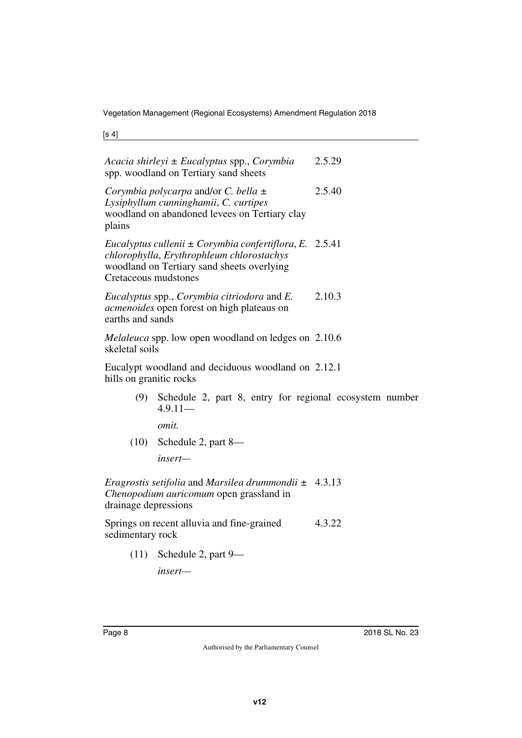[s 4]

| 2.5.29                                                      |
|-------------------------------------------------------------|
| 2.5.40                                                      |
| Eucalyptus cullenii $\pm$ Corymbia confertiflora, E. 2.5.41 |
| 2.10.3                                                      |
| <i>Melaleuca</i> spp. low open woodland on ledges on 2.10.6 |
| Eucalypt woodland and deciduous woodland on 2.12.1          |
| Schedule 2, part 8, entry for regional ecosystem number     |
|                                                             |
|                                                             |
|                                                             |
| Eragrostis setifolia and Marsilea drummondii $\pm$ 4.3.13   |
| 4.3.22                                                      |
|                                                             |
|                                                             |

*insert—*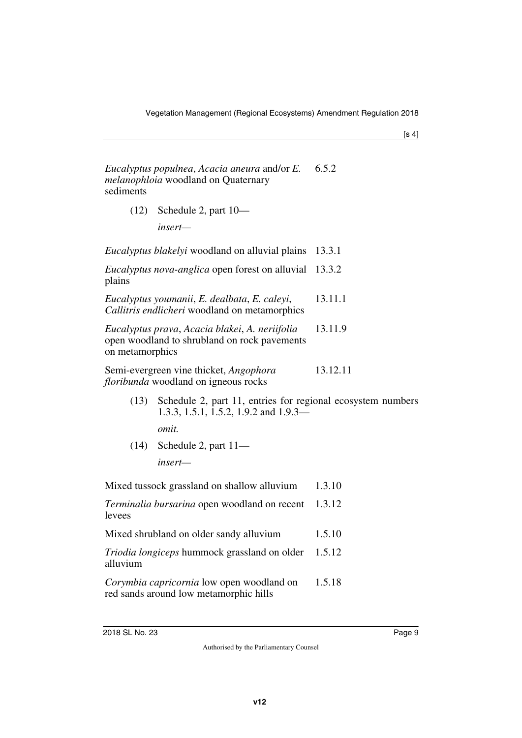| Eucalyptus populnea, Acacia aneura and/or E. | 6.5.2 |
|----------------------------------------------|-------|
| <i>melanophloia</i> woodland on Quaternary   |       |
| sediments                                    |       |

(12) Schedule 2, part 10—

*insert—*

| <i>Eucalyptus blakelyi</i> woodland on alluvial plains                                                            | 13.3.1   |
|-------------------------------------------------------------------------------------------------------------------|----------|
| <i>Eucalyptus nova-anglica</i> open forest on alluvial 13.3.2<br>plains                                           |          |
| Eucalyptus youmanii, E. dealbata, E. caleyi,<br>Callitris endlicheri woodland on metamorphics                     | 13.11.1  |
| Eucalyptus prava, Acacia blakei, A. neriifolia<br>open woodland to shrubland on rock pavements<br>on metamorphics | 13.11.9  |
| Semi-evergreen vine thicket, <i>Angophora</i><br><i>floribunda</i> woodland on igneous rocks                      | 13.12.11 |

(13) Schedule 2, part 11, entries for regional ecosystem numbers 1.3.3, 1.5.1, 1.5.2, 1.9.2 and 1.9.3—

*omit.*

(14) Schedule 2, part 11 *insert—*

| Mixed tussock grassland on shallow alluvium | 1.3.10 |
|---------------------------------------------|--------|
|---------------------------------------------|--------|

*Terminalia bursarina* open woodland on recent levees 1.3.12

Mixed shrubland on older sandy alluvium 1.5.10

*Triodia longiceps* hummock grassland on older alluvium 1.5.12

*Corymbia capricornia* low open woodland on red sands around low metamorphic hills 1.5.18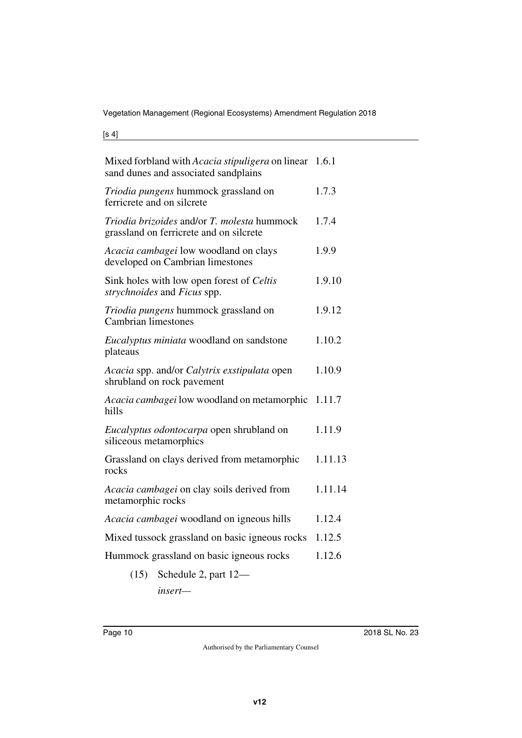[s 4]

| Mixed forbland with Acacia stipuligera on linear 1.6.1<br>sand dunes and associated sandplains |         |
|------------------------------------------------------------------------------------------------|---------|
| Triodia pungens hummock grassland on<br>ferricrete and on silcrete                             | 1.7.3   |
| Triodia brizoides and/or T. molesta hummock<br>grassland on ferricrete and on silcrete         | 1.7.4   |
| Acacia cambagei low woodland on clays<br>developed on Cambrian limestones                      | 1.9.9   |
| Sink holes with low open forest of Celtis<br>strychnoides and Ficus spp.                       | 1.9.10  |
| Triodia pungens hummock grassland on<br><b>Cambrian limestones</b>                             | 1.9.12  |
| Eucalyptus miniata woodland on sandstone<br>plateaus                                           | 1.10.2  |
| Acacia spp. and/or Calytrix exstipulata open<br>shrubland on rock pavement                     | 1.10.9  |
| Acacia cambagei low woodland on metamorphic<br>hills                                           | 1.11.7  |
| Eucalyptus odontocarpa open shrubland on<br>siliceous metamorphics                             | 1.11.9  |
| Grassland on clays derived from metamorphic<br>rocks                                           | 1.11.13 |
| <i>Acacia cambagei</i> on clay soils derived from<br>metamorphic rocks                         | 1.11.14 |
| Acacia cambagei woodland on igneous hills                                                      | 1.12.4  |
| Mixed tussock grassland on basic igneous rocks                                                 | 1.12.5  |
| Hummock grassland on basic igneous rocks                                                       | 1.12.6  |
| Schedule 2, part 12-<br>(15)                                                                   |         |

*insert—*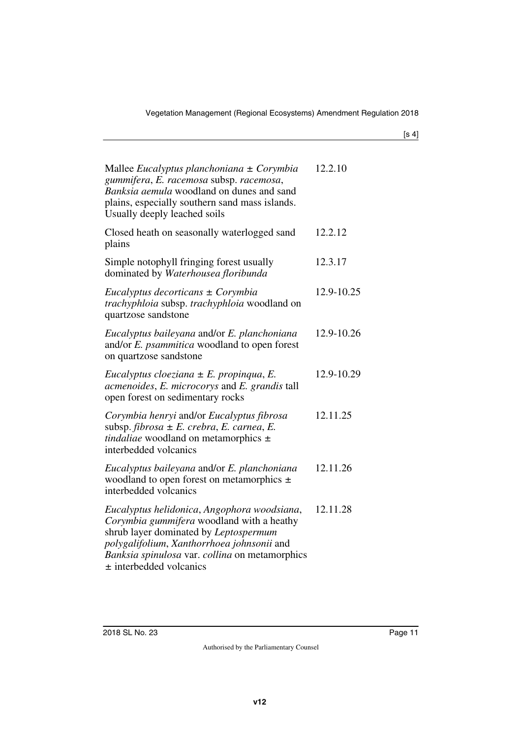| Mallee Eucalyptus planchoniana $\pm$ Corymbia<br>gummifera, E. racemosa subsp. racemosa,<br>Banksia aemula woodland on dunes and sand<br>plains, especially southern sand mass islands.<br>Usually deeply leached soils                                          | 12.2.10    |
|------------------------------------------------------------------------------------------------------------------------------------------------------------------------------------------------------------------------------------------------------------------|------------|
| Closed heath on seasonally waterlogged sand<br>plains                                                                                                                                                                                                            | 12.2.12    |
| Simple notophyll fringing forest usually<br>dominated by Waterhousea floribunda                                                                                                                                                                                  | 12.3.17    |
| Eucalyptus decorticans $\pm$ Corymbia<br>trachyphloia subsp. trachyphloia woodland on<br>quartzose sandstone                                                                                                                                                     | 12.9-10.25 |
| Eucalyptus baileyana and/or E. planchoniana<br>and/or E. psammitica woodland to open forest<br>on quartzose sandstone                                                                                                                                            | 12.9-10.26 |
| Eucalyptus cloeziana $\pm$ E. propingua, E.<br>acmenoides, E. microcorys and E. grandis tall<br>open forest on sedimentary rocks                                                                                                                                 | 12.9-10.29 |
| Corymbia henryi and/or Eucalyptus fibrosa<br>subsp. fibrosa $\pm E$ . crebra, E. carnea, E.<br>tindaliae woodland on metamorphics $\pm$<br>interbedded volcanics                                                                                                 | 12.11.25   |
| Eucalyptus baileyana and/or E. planchoniana<br>woodland to open forest on metamorphics $\pm$<br>interbedded volcanics                                                                                                                                            | 12.11.26   |
| Eucalyptus helidonica, Angophora woodsiana,<br>Corymbia gummifera woodland with a heathy<br>shrub layer dominated by Leptospermum<br>polygalifolium, Xanthorrhoea johnsonii and<br>Banksia spinulosa var. collina on metamorphics<br>$\pm$ interbedded volcanics | 12.11.28   |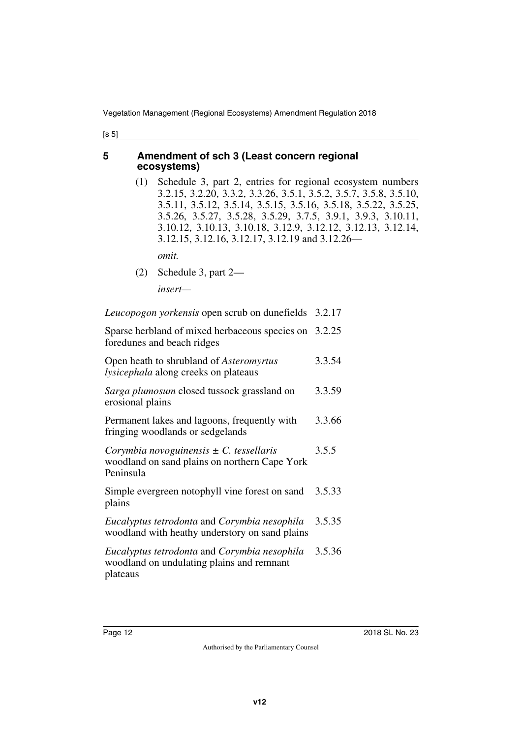#### <span id="page-11-0"></span>**5 Amendment of sch 3 (Least concern regional ecosystems)**

<span id="page-11-1"></span>(1) Schedule 3, part 2, entries for regional ecosystem numbers 3.2.15, 3.2.20, 3.3.2, 3.3.26, 3.5.1, 3.5.2, 3.5.7, 3.5.8, 3.5.10, 3.5.11, 3.5.12, 3.5.14, 3.5.15, 3.5.16, 3.5.18, 3.5.22, 3.5.25, 3.5.26, 3.5.27, 3.5.28, 3.5.29, 3.7.5, 3.9.1, 3.9.3, 3.10.11, 3.10.12, 3.10.13, 3.10.18, 3.12.9, 3.12.12, 3.12.13, 3.12.14, 3.12.15, 3.12.16, 3.12.17, 3.12.19 and 3.12.26—

*omit.*

(2) Schedule 3, part 2—

*insert—*

*Leucopogon yorkensis* open scrub on dunefields 3.2.17

Sparse herbland of mixed herbaceous species on 3.2.25 foredunes and beach ridges

| Open heath to shrubland of <i>Asteromyrtus</i><br>lysicephala along creeks on plateaus                    | 3.3.54 |
|-----------------------------------------------------------------------------------------------------------|--------|
| Sarga plumosum closed tussock grassland on<br>erosional plains                                            | 3.3.59 |
| Permanent lakes and lagoons, frequently with<br>fringing woodlands or sedgelands                          | 3.3.66 |
| Corymbia novoguinensis $\pm$ C. tessellaris<br>woodland on sand plains on northern Cape York<br>Peninsula | 3.5.5  |
| Simple evergreen notophyll vine forest on sand<br>plains                                                  | 3.5.33 |
| Eucalyptus tetrodonta and Corymbia nesophila<br>woodland with heathy understory on sand plains            | 3.5.35 |
| Eucalyptus tetrodonta and Corymbia nesophila<br>woodland on undulating plains and remnant<br>plateaus     | 3.5.36 |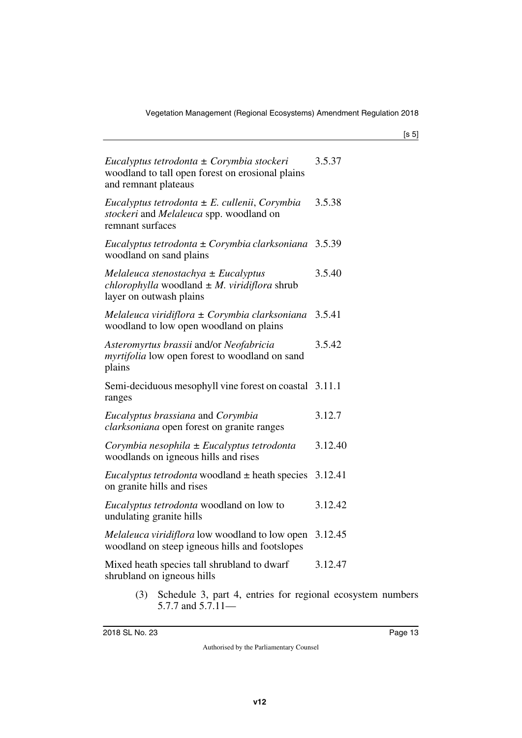| Eucalyptus tetrodonta $\pm$ Corymbia stockeri<br>woodland to tall open forest on erosional plains<br>and remnant plateaus            | 3.5.37  |
|--------------------------------------------------------------------------------------------------------------------------------------|---------|
| Eucalyptus tetrodonta $\pm$ E. cullenii, Corymbia<br>stockeri and Melaleuca spp. woodland on<br>remnant surfaces                     | 3.5.38  |
| Eucalyptus tetrodonta $\pm$ Corymbia clarksoniana 3.5.39<br>woodland on sand plains                                                  |         |
| Melaleuca stenostachya $\pm$ Eucalyptus<br><i>chlorophylla</i> woodland $\pm$ <i>M. viridiflora</i> shrub<br>layer on outwash plains | 3.5.40  |
| Melaleuca viridiflora $\pm$ Corymbia clarksoniana 3.5.41<br>woodland to low open woodland on plains                                  |         |
| Asteromyrtus brassii and/or Neofabricia<br><i>myrtifolia</i> low open forest to woodland on sand<br>plains                           | 3.5.42  |
| Semi-deciduous mesophyll vine forest on coastal 3.11.1<br>ranges                                                                     |         |
| Eucalyptus brassiana and Corymbia<br><i>clarksoniana</i> open forest on granite ranges                                               | 3.12.7  |
| Corymbia nesophila $\pm$ Eucalyptus tetrodonta<br>woodlands on igneous hills and rises                                               | 3.12.40 |
| <i>Eucalyptus tetrodonta</i> woodland $\pm$ heath species 3.12.41<br>on granite hills and rises                                      |         |
| Eucalyptus tetrodonta woodland on low to<br>undulating granite hills                                                                 | 3.12.42 |
| <i>Melaleuca viridiflora</i> low woodland to low open<br>woodland on steep igneous hills and footslopes                              | 3.12.45 |
| Mixed heath species tall shrubland to dwarf<br>shrubland on igneous hills                                                            | 3.12.47 |
| Schedule 3, part 4, entries for regional ecosystem numbers<br>(3)<br>5.7.7 and $5.7.11-$                                             |         |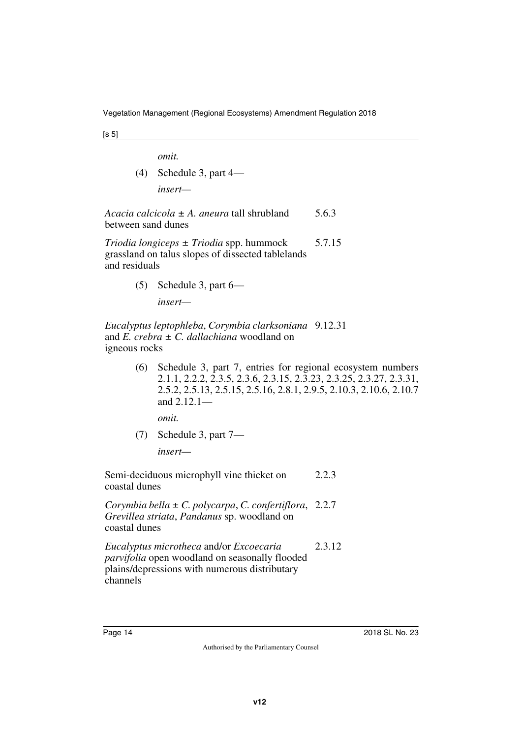*omit.*

(4) Schedule 3, part 4 *insert—*

*Acacia calcicola ± A. aneura* tall shrubland between sand dunes 5.6.3

*Triodia longiceps ± Triodia* spp. hummock grassland on talus slopes of dissected tablelands and residuals 5.7.15

> (5) Schedule 3, part 6 *insert—*

*Eucalyptus leptophleba*, *Corymbia clarksoniana* 9.12.31 and *E. crebra ± C. dallachiana* woodland on igneous rocks

> (6) Schedule 3, part 7, entries for regional ecosystem numbers 2.1.1, 2.2.2, 2.3.5, 2.3.6, 2.3.15, 2.3.23, 2.3.25, 2.3.27, 2.3.31, 2.5.2, 2.5.13, 2.5.15, 2.5.16, 2.8.1, 2.9.5, 2.10.3, 2.10.6, 2.10.7 and 2.12.1—

*omit.*

(7) Schedule 3, part 7—

*insert—*

Semi-deciduous microphyll vine thicket on coastal dunes 2.2.3

*Corymbia bella ± C. polycarpa*, *C. confertiflora*, 2.2.7 *Grevillea striata*, *Pandanus* sp. woodland on coastal dunes

*Eucalyptus microtheca* and/or *Excoecaria parvifolia* open woodland on seasonally flooded plains/depressions with numerous distributary channels 2.3.12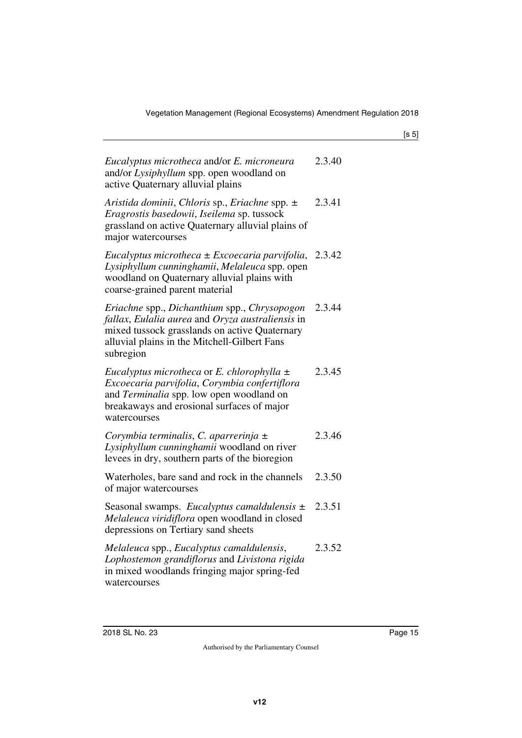| Eucalyptus microtheca and/or E. microneura<br>and/or Lysiphyllum spp. open woodland on<br>active Quaternary alluvial plains                                                                                    | 2.3.40 |
|----------------------------------------------------------------------------------------------------------------------------------------------------------------------------------------------------------------|--------|
| Aristida dominii, Chloris sp., Eriachne spp. $\pm$<br>Eragrostis basedowii, Iseilema sp. tussock<br>grassland on active Quaternary alluvial plains of<br>major watercourses                                    | 2.3.41 |
| Eucalyptus microtheca $\pm$ Excoecaria parvifolia, 2.3.42<br>Lysiphyllum cunninghamii, Melaleuca spp. open<br>woodland on Quaternary alluvial plains with<br>coarse-grained parent material                    |        |
| Eriachne spp., Dichanthium spp., Chrysopogon<br>fallax, Eulalia aurea and Oryza australiensis in<br>mixed tussock grasslands on active Quaternary<br>alluvial plains in the Mitchell-Gilbert Fans<br>subregion | 2.3.44 |
| Eucalyptus microtheca or E. chlorophylla $\pm$<br>Excoecaria parvifolia, Corymbia confertiflora<br>and Terminalia spp. low open woodland on<br>breakaways and erosional surfaces of major<br>watercourses      | 2.3.45 |
| Corymbia terminalis, C. aparrerinja $\pm$<br>Lysiphyllum cunninghamii woodland on river<br>levees in dry, southern parts of the bioregion                                                                      | 2.3.46 |
| Waterholes, bare sand and rock in the channels<br>of major watercourses                                                                                                                                        | 2.3.50 |
| Seasonal swamps. Eucalyptus camaldulensis $\pm$<br>Melaleuca viridiflora open woodland in closed<br>depressions on Tertiary sand sheets                                                                        | 2.3.51 |
| Melaleuca spp., Eucalyptus camaldulensis,<br>Lophostemon grandiflorus and Livistona rigida<br>in mixed woodlands fringing major spring-fed<br>watercourses                                                     | 2.3.52 |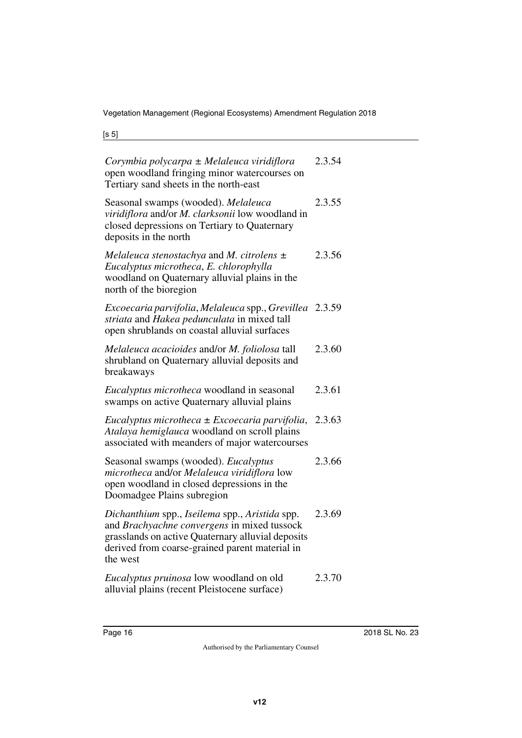| Corymbia polycarpa ± Melaleuca viridiflora<br>open woodland fringing minor watercourses on<br>Tertiary sand sheets in the north-east                                                                             | 2.3.54 |
|------------------------------------------------------------------------------------------------------------------------------------------------------------------------------------------------------------------|--------|
| Seasonal swamps (wooded). Melaleuca<br>viridiflora and/or M. clarksonii low woodland in<br>closed depressions on Tertiary to Quaternary<br>deposits in the north                                                 | 2.3.55 |
| Melaleuca stenostachya and M. citrolens $\pm$<br>Eucalyptus microtheca, E. chlorophylla<br>woodland on Quaternary alluvial plains in the<br>north of the bioregion                                               | 2.3.56 |
| Excoecaria parvifolia, Melaleuca spp., Grevillea<br>striata and Hakea pedunculata in mixed tall<br>open shrublands on coastal alluvial surfaces                                                                  | 2.3.59 |
| Melaleuca acacioides and/or M. foliolosa tall<br>shrubland on Quaternary alluvial deposits and<br>breakaways                                                                                                     | 2.3.60 |
| <i>Eucalyptus microtheca</i> woodland in seasonal<br>swamps on active Quaternary alluvial plains                                                                                                                 | 2.3.61 |
| Eucalyptus microtheca $\pm$ Excoecaria parvifolia,<br>Atalaya hemiglauca woodland on scroll plains<br>associated with meanders of major watercourses                                                             | 2.3.63 |
| Seasonal swamps (wooded). Eucalyptus<br>microtheca and/or Melaleuca viridiflora low<br>open woodland in closed depressions in the<br>Doomadgee Plains subregion                                                  | 2.3.66 |
| Dichanthium spp., Iseilema spp., Aristida spp.<br>and Brachyachne convergens in mixed tussock<br>grasslands on active Quaternary alluvial deposits<br>derived from coarse-grained parent material in<br>the west | 2.3.69 |
| Eucalyptus pruinosa low woodland on old<br>alluvial plains (recent Pleistocene surface)                                                                                                                          | 2.3.70 |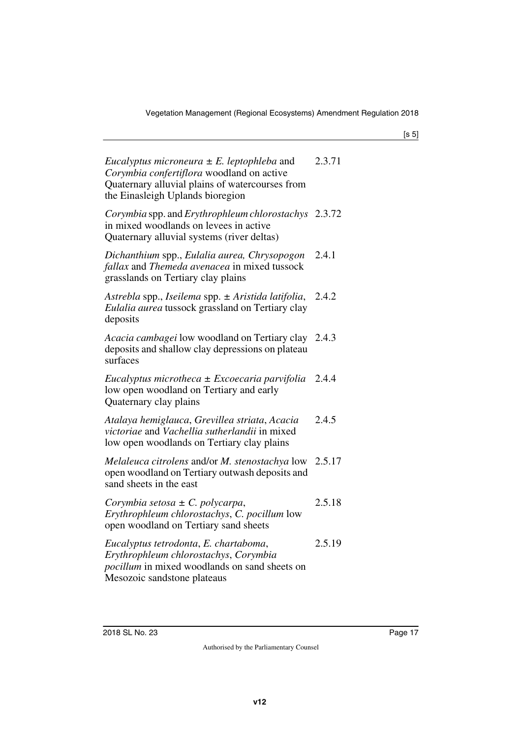| Eucalyptus microneura $\pm$ E. leptophleba and<br>Corymbia confertiflora woodland on active<br>Quaternary alluvial plains of watercourses from<br>the Einasleigh Uplands bioregion | 2.3.71 |
|------------------------------------------------------------------------------------------------------------------------------------------------------------------------------------|--------|
| Corymbia spp. and Erythrophleum chlorostachys 2.3.72<br>in mixed woodlands on levees in active<br>Quaternary alluvial systems (river deltas)                                       |        |
| Dichanthium spp., Eulalia aurea, Chrysopogon<br>fallax and Themeda avenacea in mixed tussock<br>grasslands on Tertiary clay plains                                                 | 2.4.1  |
| Astrebla spp., Iseilema spp. ± Aristida latifolia,<br>Eulalia aurea tussock grassland on Tertiary clay<br>deposits                                                                 | 2.4.2  |
| Acacia cambagei low woodland on Tertiary clay<br>deposits and shallow clay depressions on plateau<br>surfaces                                                                      | 2.4.3  |
| Eucalyptus microtheca ± Excoecaria parvifolia<br>low open woodland on Tertiary and early<br>Quaternary clay plains                                                                 | 2.4.4  |
| Atalaya hemiglauca, Grevillea striata, Acacia<br>victoriae and Vachellia sutherlandii in mixed<br>low open woodlands on Tertiary clay plains                                       | 2.4.5  |
| Melaleuca citrolens and/or M. stenostachya low 2.5.17<br>open woodland on Tertiary outwash deposits and<br>sand sheets in the east                                                 |        |
| Corymbia setosa $\pm$ C. polycarpa,<br>Erythrophleum chlorostachys, C. pocillum low<br>open woodland on Tertiary sand sheets                                                       | 2.5.18 |
| Eucalyptus tetrodonta, E. chartaboma,<br>Erythrophleum chlorostachys, Corymbia<br><i>pocillum</i> in mixed woodlands on sand sheets on<br>Mesozoic sandstone plateaus              | 2.5.19 |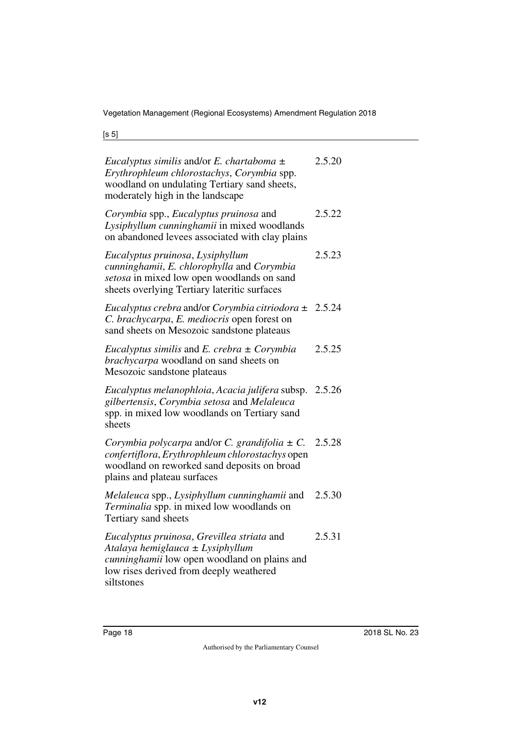| Eucalyptus similis and/or E. chartaboma $\pm$<br>Erythrophleum chlorostachys, Corymbia spp.<br>woodland on undulating Tertiary sand sheets,<br>moderately high in the landscape         | 2.5.20 |
|-----------------------------------------------------------------------------------------------------------------------------------------------------------------------------------------|--------|
| Corymbia spp., Eucalyptus pruinosa and<br>Lysiphyllum cunninghamii in mixed woodlands<br>on abandoned levees associated with clay plains                                                | 2.5.22 |
| Eucalyptus pruinosa, Lysiphyllum<br>cunninghamii, E. chlorophylla and Corymbia<br>setosa in mixed low open woodlands on sand<br>sheets overlying Tertiary lateritic surfaces            | 2.5.23 |
| Eucalyptus crebra and/or Corymbia citriodora $\pm$<br>C. brachycarpa, E. mediocris open forest on<br>sand sheets on Mesozoic sandstone plateaus                                         | 2.5.24 |
| <i>Eucalyptus similis</i> and <i>E. crebra</i> $\pm$ <i>Corymbia</i><br>brachycarpa woodland on sand sheets on<br>Mesozoic sandstone plateaus                                           | 2.5.25 |
| Eucalyptus melanophloia, Acacia julifera subsp. 2.5.26<br>gilbertensis, Corymbia setosa and Melaleuca<br>spp. in mixed low woodlands on Tertiary sand<br>sheets                         |        |
| Corymbia polycarpa and/or C. grandifolia $\pm$ C.<br>confertiflora, Erythrophleum chlorostachys open<br>woodland on reworked sand deposits on broad<br>plains and plateau surfaces      | 2.5.28 |
| Melaleuca spp., Lysiphyllum cunninghamii and<br>Terminalia spp. in mixed low woodlands on<br>Tertiary sand sheets                                                                       | 2.5.30 |
| Eucalyptus pruinosa, Grevillea striata and<br>Atalaya hemiglauca ± Lysiphyllum<br>cunninghamii low open woodland on plains and<br>low rises derived from deeply weathered<br>siltstones | 2.5.31 |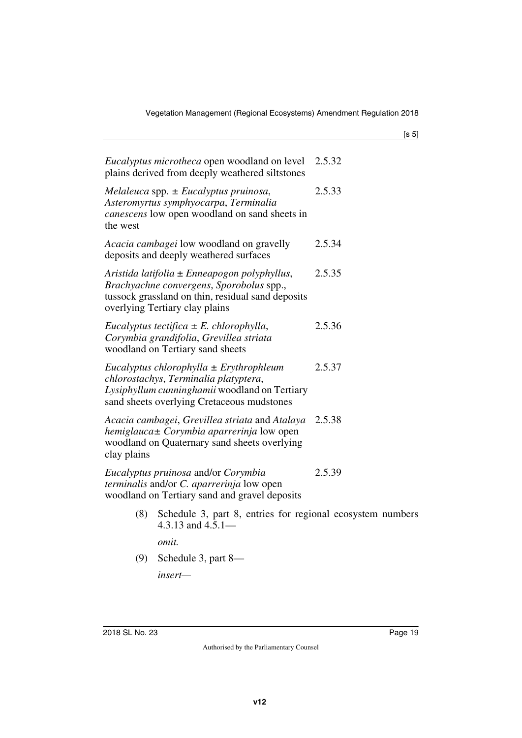| <i>Eucalyptus microtheca</i> open woodland on level<br>plains derived from deeply weathered siltstones                                                                              | 2.5.32 |
|-------------------------------------------------------------------------------------------------------------------------------------------------------------------------------------|--------|
| Melaleuca spp. $\pm$ Eucalyptus pruinosa,<br>Asteromyrtus symphyocarpa, Terminalia<br><i>canescens</i> low open woodland on sand sheets in<br>the west                              | 2.5.33 |
| Acacia cambagei low woodland on gravelly<br>deposits and deeply weathered surfaces                                                                                                  | 2.5.34 |
| Aristida latifolia $\pm$ Enneapogon polyphyllus,<br>Brachyachne convergens, Sporobolus spp.,<br>tussock grassland on thin, residual sand deposits<br>overlying Tertiary clay plains | 2.5.35 |
| Eucalyptus tectifica $\pm E$ . chlorophylla,<br>Corymbia grandifolia, Grevillea striata<br>woodland on Tertiary sand sheets                                                         | 2.5.36 |
| Eucalyptus chlorophylla $\pm$ Erythrophleum<br>chlorostachys, Terminalia platyptera,<br>Lysiphyllum cunninghamii woodland on Tertiary<br>sand sheets overlying Cretaceous mudstones | 2.5.37 |
| Acacia cambagei, Grevillea striata and Atalaya<br>hemiglauca± Corymbia aparrerinja low open<br>woodland on Quaternary sand sheets overlying<br>clay plains                          | 2.5.38 |
| Eucalyptus pruinosa and/or Corymbia<br>terminalis and/or C. aparrerinja low open<br>woodland on Tertiary sand and gravel deposits                                                   | 2.5.39 |
| Schedule 3, part 8, entries for regional ecosystem numbers<br>(8)<br>4.3.13 and $4.5.1-$                                                                                            |        |

*omit.*

(9) Schedule 3, part 8—

*insert—*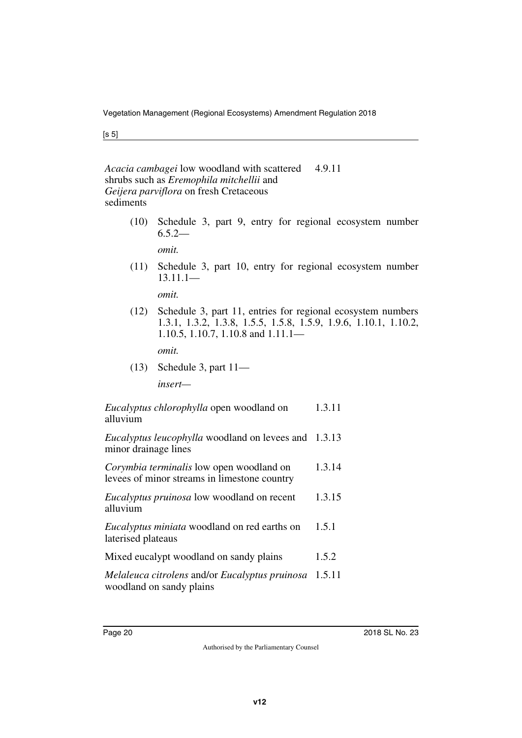#### *Acacia cambagei* low woodland with scattered shrubs such as *Eremophila mitchellii* and *Geijera parviflora* on fresh Cretaceous sediments 4.9.11

(10) Schedule 3, part 9, entry for regional ecosystem number  $6.5.2-$ 

*omit.*

(11) Schedule 3, part 10, entry for regional ecosystem number 13.11.1—

*omit.*

(12) Schedule 3, part 11, entries for regional ecosystem numbers 1.3.1, 1.3.2, 1.3.8, 1.5.5, 1.5.8, 1.5.9, 1.9.6, 1.10.1, 1.10.2, 1.10.5, 1.10.7, 1.10.8 and 1.11.1—

*omit.*

(13) Schedule 3, part 11 *insert—*

*Eucalyptus chlorophylla* open woodland on alluvium 1.3.11

*Eucalyptus leucophylla* woodland on levees and 1.3.13 minor drainage lines

- *Corymbia terminalis* low open woodland on levees of minor streams in limestone country 1.3.14
- *Eucalyptus pruinosa* low woodland on recent alluvium 1.3.15
- *Eucalyptus miniata* woodland on red earths on laterised plateaus 1.5.1
- Mixed eucalypt woodland on sandy plains 1.5.2
- *Melaleuca citrolens* and/or *Eucalyptus pruinosa* 1.5.11woodland on sandy plains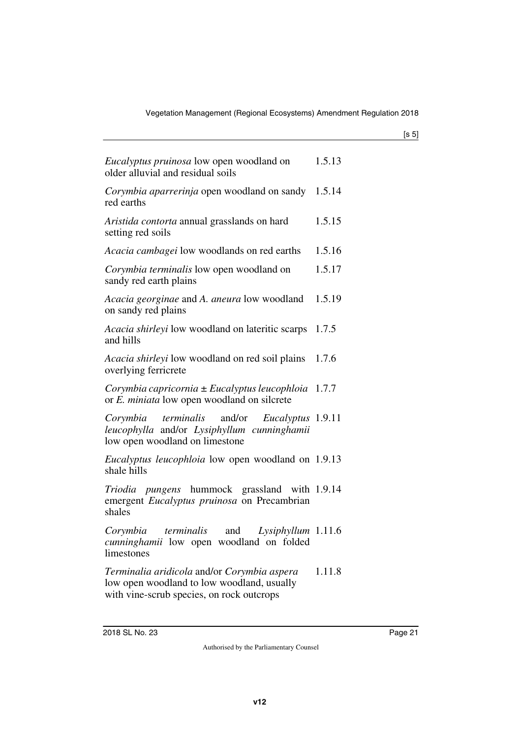| I<br>۰.<br>×<br>۰,<br>× |
|-------------------------|
|-------------------------|

| <i>Eucalyptus pruinosa</i> low open woodland on<br>older alluvial and residual soils                                                   | 1.5.13 |
|----------------------------------------------------------------------------------------------------------------------------------------|--------|
| Corymbia aparrerinja open woodland on sandy 1.5.14<br>red earths                                                                       |        |
| Aristida contorta annual grasslands on hard<br>setting red soils                                                                       | 1.5.15 |
| Acacia cambagei low woodlands on red earths                                                                                            | 1.5.16 |
| Corymbia terminalis low open woodland on<br>sandy red earth plains                                                                     | 1.5.17 |
| Acacia georginae and A. aneura low woodland<br>on sandy red plains                                                                     | 1.5.19 |
| Acacia shirleyi low woodland on lateritic scarps 1.7.5<br>and hills                                                                    |        |
| Acacia shirleyi low woodland on red soil plains<br>overlying ferricrete                                                                | 1.7.6  |
| Corymbia capricornia $\pm$ Eucalyptus leucophloia 1.7.7<br>or E. miniata low open woodland on silcrete                                 |        |
| Corymbia terminalis and/or<br>Eucalyptus 1.9.11<br>leucophylla and/or Lysiphyllum cunninghamii<br>low open woodland on limestone       |        |
| <i>Eucalyptus leucophloia</i> low open woodland on 1.9.13<br>shale hills                                                               |        |
| Triodia pungens hummock grassland with 1.9.14<br>emergent Eucalyptus pruinosa on Precambrian<br>shales                                 |        |
| Corymbia terminalis and Lysiphyllum 1.11.6<br>cunninghamii low open woodland on folded<br>limestones                                   |        |
| Terminalia aridicola and/or Corymbia aspera<br>low open woodland to low woodland, usually<br>with vine-scrub species, on rock outcrops | 1.11.8 |
|                                                                                                                                        |        |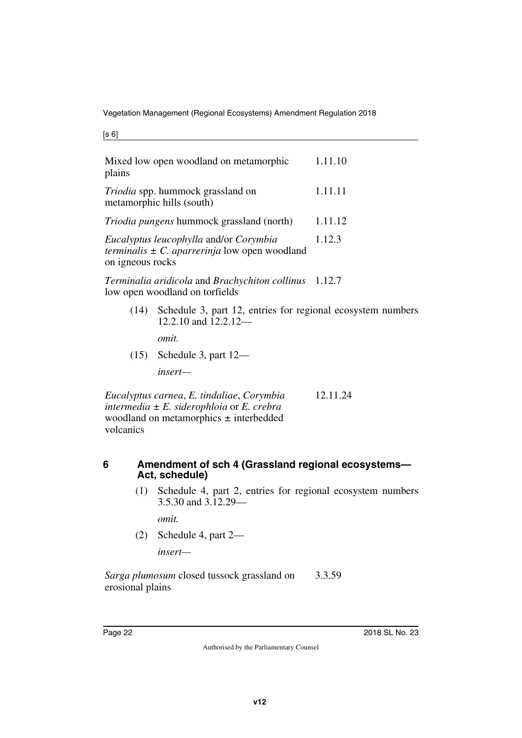| ۰.<br>۰,<br>× |  |
|---------------|--|
|---------------|--|

| plains           | Mixed low open woodland on metamorphic                                                                     | 1.11.10 |
|------------------|------------------------------------------------------------------------------------------------------------|---------|
|                  | Triodia spp. hummock grassland on<br>metamorphic hills (south)                                             | 1.11.11 |
|                  | <i>Triodia pungens</i> hummock grassland (north)                                                           | 1.11.12 |
| on igneous rocks | Eucalyptus leucophylla and/or Corymbia<br><i>terminalis</i> $\pm C$ . <i>aparrerinja</i> low open woodland | 1.12.3  |
|                  | Terminalia aridicola and Brachychiton collinus 1.12.7<br>low open woodland on torfields                    |         |
| (14)             | Schedule 3, part 12, entries for regional ecosystem numbers<br>12.2.10 and 12.2.12-                        |         |
|                  | omit.                                                                                                      |         |

(15) Schedule 3, part 12—

*insert—*

*Eucalyptus carnea*, *E. tindaliae*, *Corymbia intermedia ± E. siderophloia* or *E. crebra* woodland on metamorphics *±* interbedded volcanics 12.11.24

#### <span id="page-21-0"></span>**6 Amendment of sch 4 (Grassland regional ecosystems— Act, schedule)**

<span id="page-21-1"></span>(1) Schedule 4, part 2, entries for regional ecosystem numbers 3.5.30 and 3.12.29—

*omit.*

(2) Schedule 4, part 2—

*insert—*

*Sarga plumosum* closed tussock grassland on erosional plains 3.3.59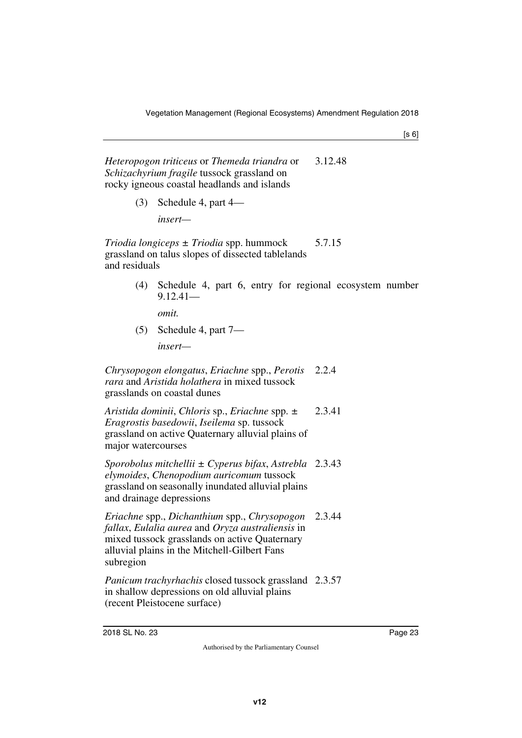$[s 6]$ 

*Heteropogon triticeus* or *Themeda triandra* or *Schizachyrium fragile* tussock grassland on rocky igneous coastal headlands and islands 3.12.48

(3) Schedule 4, part 4—

*insert—*

*Triodia longiceps ± Triodia* spp. hummock grassland on talus slopes of dissected tablelands and residuals 5.7.15

> (4) Schedule 4, part 6, entry for regional ecosystem number 9.12.41—

*omit.*

(5) Schedule 4, part 7 *insert—*

*Chrysopogon elongatus*, *Eriachne* spp., *Perotis rara* and *Aristida holathera* in mixed tussock grasslands on coastal dunes 2.2.4

*Aristida dominii*, *Chloris* sp., *Eriachne* spp. *± Eragrostis basedowii*, *Iseilema* sp. tussock grassland on active Quaternary alluvial plains of major watercourses 2.3.41

*Sporobolus mitchellii ± Cyperus bifax*, *Astrebla*  2.3.43 *elymoides*, *Chenopodium auricomum* tussock grassland on seasonally inundated alluvial plains and drainage depressions

*Eriachne* spp., *Dichanthium* spp., *Chrysopogon fallax*, *Eulalia aurea* and *Oryza australiensis* in mixed tussock grasslands on active Quaternary alluvial plains in the Mitchell-Gilbert Fans subregion 2.3.44

*Panicum trachyrhachis* closed tussock grassland 2.3.57in shallow depressions on old alluvial plains (recent Pleistocene surface)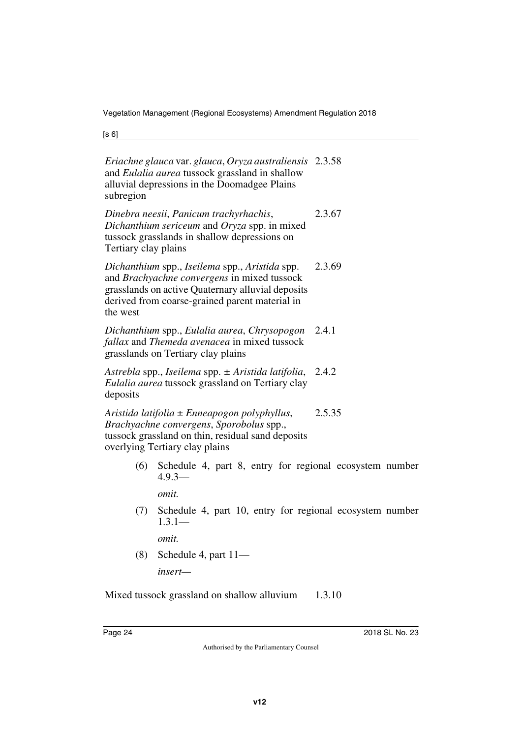[s 6]

| Eriachne glauca var. glauca, Oryza australiensis 2.3.58<br>and Eulalia aurea tussock grassland in shallow<br>alluvial depressions in the Doomadgee Plains<br>subregion                                           |        |
|------------------------------------------------------------------------------------------------------------------------------------------------------------------------------------------------------------------|--------|
| Dinebra neesii, Panicum trachyrhachis,<br>Dichanthium sericeum and Oryza spp. in mixed<br>tussock grasslands in shallow depressions on<br>Tertiary clay plains                                                   | 2.3.67 |
| Dichanthium spp., Iseilema spp., Aristida spp.<br>and Brachyachne convergens in mixed tussock<br>grasslands on active Quaternary alluvial deposits<br>derived from coarse-grained parent material in<br>the west | 2.3.69 |
| Dichanthium spp., Eulalia aurea, Chrysopogon 2.4.1<br>fallax and Themeda avenacea in mixed tussock<br>grasslands on Tertiary clay plains                                                                         |        |
| Astrebla spp., Iseilema spp. ± Aristida latifolia, 2.4.2<br>Eulalia aurea tussock grassland on Tertiary clay<br>deposits                                                                                         |        |
| Aristida latifolia ± Enneapogon polyphyllus,<br>Brachyachne convergens, Sporobolus spp.,<br>tussock grassland on thin, residual sand deposits<br>overlying Tertiary clay plains                                  | 2.5.35 |
| (6) Schedule 4, part 8, entry for regional ecosystem number<br>$4.9.3-$                                                                                                                                          |        |
| omit.                                                                                                                                                                                                            |        |

(7) Schedule 4, part 10, entry for regional ecosystem number  $1.3.1-$ 

*omit.*

(8) Schedule 4, part 11 *insert—*

Mixed tussock grassland on shallow alluvium 1.3.10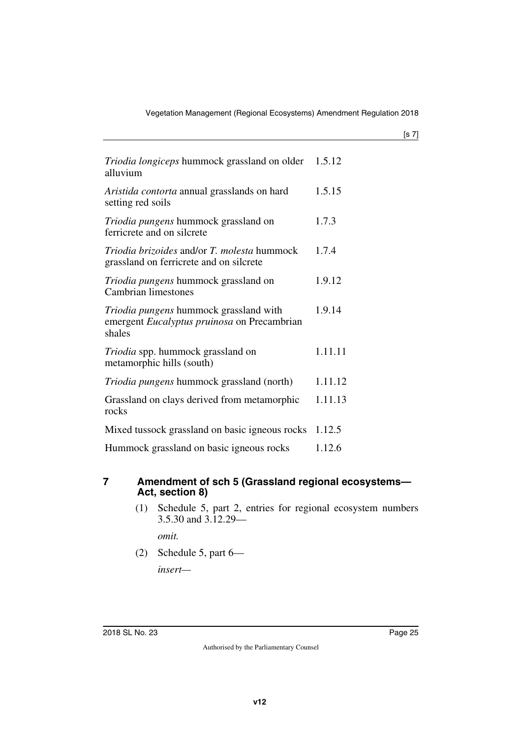| ۰.<br>× |  |
|---------|--|
|         |  |

| Triodia longiceps hummock grassland on older<br>alluvium                                        | 1.5.12  |
|-------------------------------------------------------------------------------------------------|---------|
| Aristida contorta annual grasslands on hard<br>setting red soils                                | 1.5.15  |
| Triodia pungens hummock grassland on<br>ferricrete and on silcrete                              | 1.7.3   |
| Triodia brizoides and/or T. molesta hummock<br>grassland on ferricrete and on silcrete          | 1.7.4   |
| <i>Triodia pungens</i> hummock grassland on<br>Cambrian limestones                              | 1.9.12  |
| Triodia pungens hummock grassland with<br>emergent Eucalyptus pruinosa on Precambrian<br>shales | 1.9.14  |
| <i>Triodia</i> spp. hummock grassland on<br>metamorphic hills (south)                           | 1.11.11 |
| <i>Triodia pungens</i> hummock grassland (north)                                                | 1.11.12 |
| Grassland on clays derived from metamorphic<br>rocks                                            | 1.11.13 |
| Mixed tussock grassland on basic igneous rocks                                                  | 1.12.5  |
| Hummock grassland on basic igneous rocks                                                        | 1.12.6  |

#### <span id="page-24-0"></span>**7 Amendment of sch 5 (Grassland regional ecosystems— Act, section 8)**

<span id="page-24-1"></span>(1) Schedule 5, part 2, entries for regional ecosystem numbers 3.5.30 and 3.12.29—

*omit.*

(2) Schedule 5, part 6—

*insert—*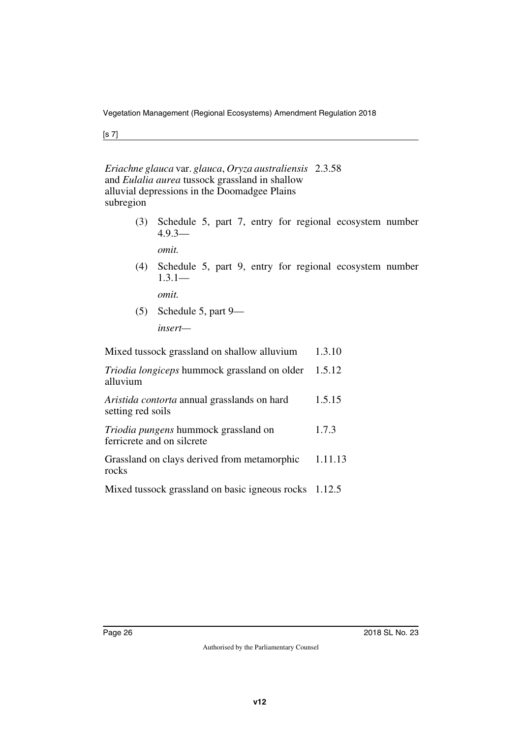[s 7]

*Eriachne glauca* var. *glauca*, *Oryza australiensis* 2.3.58 and *Eulalia aurea* tussock grassland in shallow alluvial depressions in the Doomadgee Plains subregion

> (3) Schedule 5, part 7, entry for regional ecosystem number 4.9.3—

*omit.*

(4) Schedule 5, part 9, entry for regional ecosystem number  $1.3.1-$ 

*omit.*

(5) Schedule 5, part 9—

*insert—*

Mixed tussock grassland on shallow alluvium 1.3.10

| Triodia longiceps hummock grassland on older 1.5.12<br>alluvium           |         |
|---------------------------------------------------------------------------|---------|
| <i>Aristida contorta</i> annual grasslands on hard<br>setting red soils   | 1.5.15  |
| <i>Triodia pungens</i> hummock grassland on<br>ferricrete and on silcrete | 1.7.3   |
| Grassland on clays derived from metamorphic<br>rocks                      | 1.11.13 |
| Mixed tussock grassland on basic igneous rocks 1.12.5                     |         |